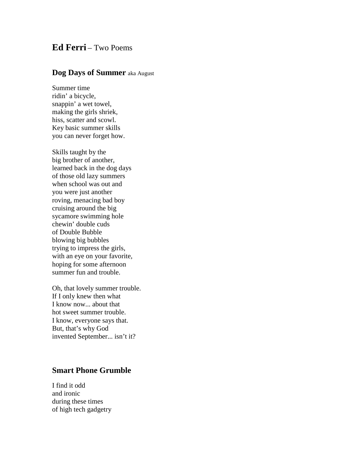## **Ed Ferri** – Two Poems

## **Dog Days of Summer** aka August

Summer time ridin' a bicycle, snappin' a wet towel, making the girls shriek, hiss, scatter and scowl. Key basic summer skills you can never forget how.

Skills taught by the big brother of another, learned back in the dog days of those old lazy summers when school was out and you were just another roving, menacing bad boy cruising around the big sycamore swimming hole chewin' double cuds of Double Bubble blowing big bubbles trying to impress the girls, with an eye on your favorite, hoping for some afternoon summer fun and trouble.

Oh, that lovely summer trouble. If I only knew then what I know now... about that hot sweet summer trouble. I know, everyone says that. But, that's why God invented September... isn't it?

## **Smart Phone Grumble**

I find it odd and ironic during these times of high tech gadgetry